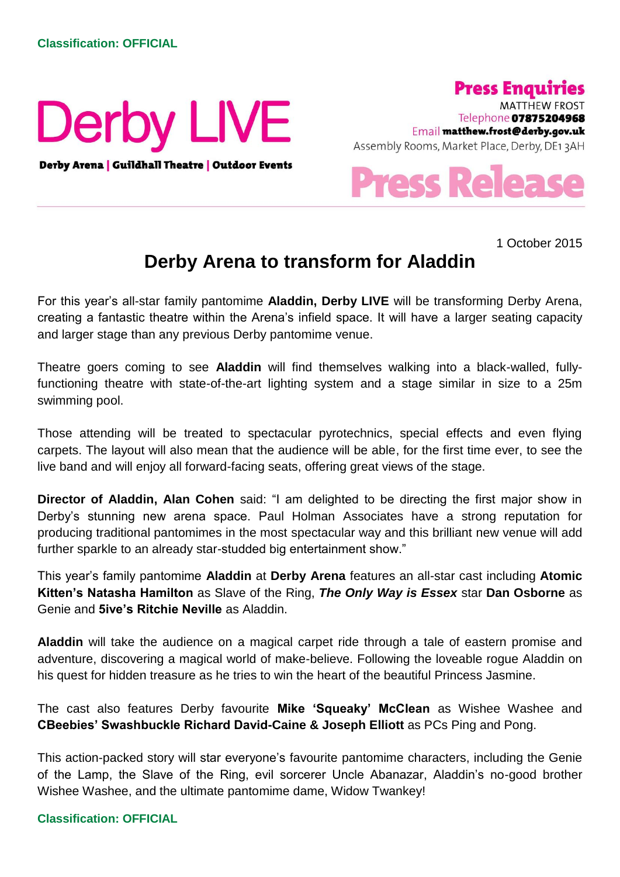

Derby Arena | Guildhall Theatre | Outdoor Events



**MATTHEW FROST** Telephone 07875204968 Email matthew.frost@derby.gov.uk Assembly Rooms, Market Place, Derby, DE13AH



1 October 2015

## **Derby Arena to transform for Aladdin**

For this year's all-star family pantomime **Aladdin, Derby LIVE** will be transforming Derby Arena, creating a fantastic theatre within the Arena's infield space. It will have a larger seating capacity and larger stage than any previous Derby pantomime venue.

Theatre goers coming to see **Aladdin** will find themselves walking into a black-walled, fullyfunctioning theatre with state-of-the-art lighting system and a stage similar in size to a 25m swimming pool.

Those attending will be treated to spectacular pyrotechnics, special effects and even flying carpets. The layout will also mean that the audience will be able, for the first time ever, to see the live band and will enjoy all forward-facing seats, offering great views of the stage.

**Director of Aladdin, Alan Cohen** said: "I am delighted to be directing the first major show in Derby's stunning new arena space. Paul Holman Associates have a strong reputation for producing traditional pantomimes in the most spectacular way and this brilliant new venue will add further sparkle to an already star-studded big entertainment show."

This year's family pantomime **Aladdin** at **Derby Arena** features an all-star cast including **Atomic Kitten's Natasha Hamilton** as Slave of the Ring, *The Only Way is Essex* star **Dan Osborne** as Genie and **5ive's Ritchie Neville** as Aladdin.

**Aladdin** will take the audience on a magical carpet ride through a tale of eastern promise and adventure, discovering a magical world of make-believe. Following the loveable rogue Aladdin on his quest for hidden treasure as he tries to win the heart of the beautiful Princess Jasmine.

The cast also features Derby favourite **Mike 'Squeaky' McClean** as Wishee Washee and **CBeebies' Swashbuckle Richard David-Caine & Joseph Elliott** as PCs Ping and Pong.

This action-packed story will star everyone's favourite pantomime characters, including the Genie of the Lamp, the Slave of the Ring, evil sorcerer Uncle Abanazar, Aladdin's no-good brother Wishee Washee, and the ultimate pantomime dame, Widow Twankey!

## **Classification: OFFICIAL**